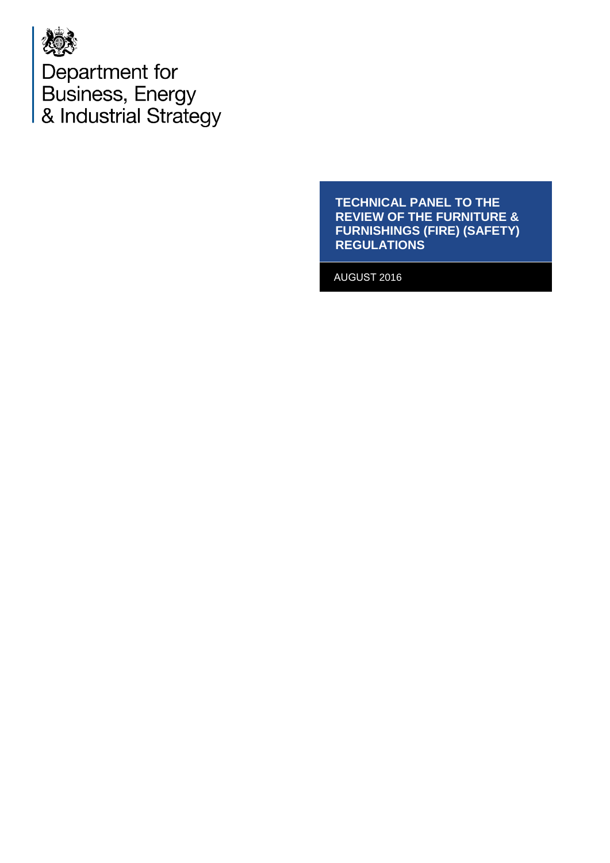

Department for Business, Energy<br>& Industrial Strategy

> **TECHNICAL PANEL TO THE REVIEW OF THE FURNITURE & FURNISHINGS (FIRE) (SAFETY) REGULATIONS**

AUGUST 2016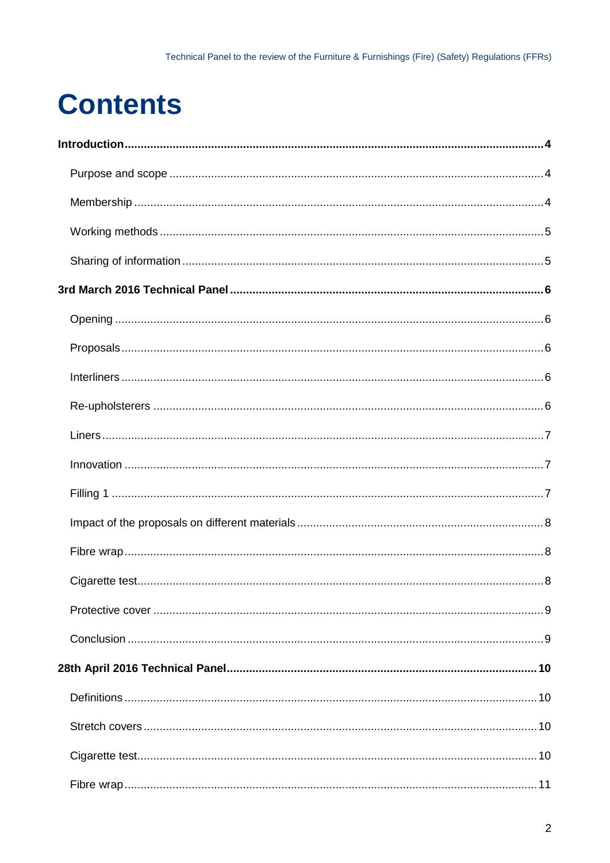# **Contents**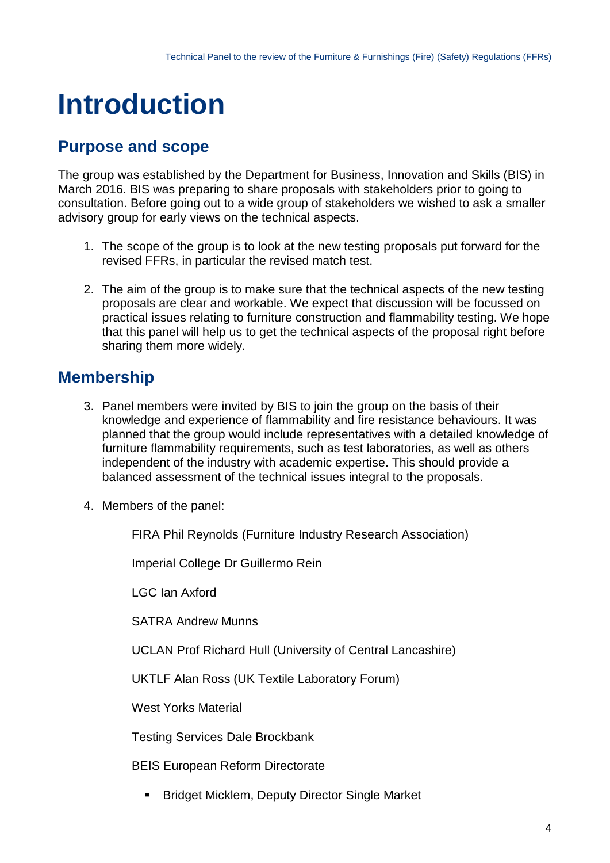# <span id="page-3-0"></span>**Introduction**

# <span id="page-3-1"></span>**Purpose and scope**

The group was established by the Department for Business, Innovation and Skills (BIS) in March 2016. BIS was preparing to share proposals with stakeholders prior to going to consultation. Before going out to a wide group of stakeholders we wished to ask a smaller advisory group for early views on the technical aspects.

- 1. The scope of the group is to look at the new testing proposals put forward for the revised FFRs, in particular the revised match test.
- 2. The aim of the group is to make sure that the technical aspects of the new testing proposals are clear and workable. We expect that discussion will be focussed on practical issues relating to furniture construction and flammability testing. We hope that this panel will help us to get the technical aspects of the proposal right before sharing them more widely.

# <span id="page-3-2"></span>**Membership**

- 3. Panel members were invited by BIS to join the group on the basis of their knowledge and experience of flammability and fire resistance behaviours. It was planned that the group would include representatives with a detailed knowledge of furniture flammability requirements, such as test laboratories, as well as others independent of the industry with academic expertise. This should provide a balanced assessment of the technical issues integral to the proposals.
- 4. Members of the panel:

FIRA Phil Reynolds (Furniture Industry Research Association)

Imperial College Dr Guillermo Rein

LGC Ian Axford

SATRA Andrew Munns

UCLAN Prof Richard Hull (University of Central Lancashire)

UKTLF Alan Ross (UK Textile Laboratory Forum)

West Yorks Material

Testing Services Dale Brockbank

BEIS European Reform Directorate

**Bridget Micklem, Deputy Director Single Market**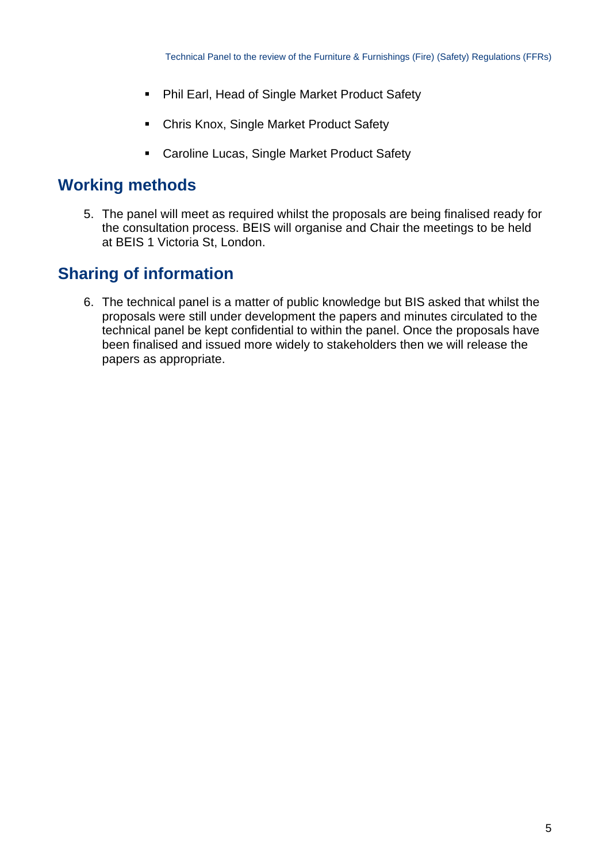- **Phil Earl, Head of Single Market Product Safety**
- **EXPLORER Chris Knox, Single Market Product Safety**
- **EXEC** Caroline Lucas, Single Market Product Safety

## <span id="page-4-0"></span>**Working methods**

5. The panel will meet as required whilst the proposals are being finalised ready for the consultation process. BEIS will organise and Chair the meetings to be held at BEIS 1 Victoria St, London.

# <span id="page-4-1"></span>**Sharing of information**

6. The technical panel is a matter of public knowledge but BIS asked that whilst the proposals were still under development the papers and minutes circulated to the technical panel be kept confidential to within the panel. Once the proposals have been finalised and issued more widely to stakeholders then we will release the papers as appropriate.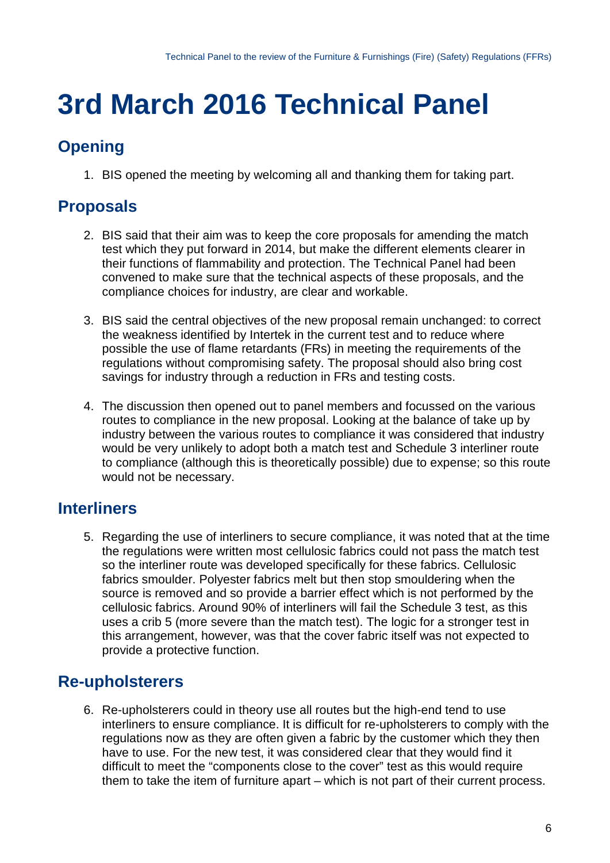# <span id="page-5-0"></span>**3rd March 2016 Technical Panel**

# <span id="page-5-1"></span>**Opening**

1. BIS opened the meeting by welcoming all and thanking them for taking part.

# <span id="page-5-2"></span>**Proposals**

- 2. BIS said that their aim was to keep the core proposals for amending the match test which they put forward in 2014, but make the different elements clearer in their functions of flammability and protection. The Technical Panel had been convened to make sure that the technical aspects of these proposals, and the compliance choices for industry, are clear and workable.
- 3. BIS said the central objectives of the new proposal remain unchanged: to correct the weakness identified by Intertek in the current test and to reduce where possible the use of flame retardants (FRs) in meeting the requirements of the regulations without compromising safety. The proposal should also bring cost savings for industry through a reduction in FRs and testing costs.
- 4. The discussion then opened out to panel members and focussed on the various routes to compliance in the new proposal. Looking at the balance of take up by industry between the various routes to compliance it was considered that industry would be very unlikely to adopt both a match test and Schedule 3 interliner route to compliance (although this is theoretically possible) due to expense; so this route would not be necessary.

## <span id="page-5-3"></span>**Interliners**

5. Regarding the use of interliners to secure compliance, it was noted that at the time the regulations were written most cellulosic fabrics could not pass the match test so the interliner route was developed specifically for these fabrics. Cellulosic fabrics smoulder. Polyester fabrics melt but then stop smouldering when the source is removed and so provide a barrier effect which is not performed by the cellulosic fabrics. Around 90% of interliners will fail the Schedule 3 test, as this uses a crib 5 (more severe than the match test). The logic for a stronger test in this arrangement, however, was that the cover fabric itself was not expected to provide a protective function.

## <span id="page-5-4"></span>**Re-upholsterers**

6. Re-upholsterers could in theory use all routes but the high-end tend to use interliners to ensure compliance. It is difficult for re-upholsterers to comply with the regulations now as they are often given a fabric by the customer which they then have to use. For the new test, it was considered clear that they would find it difficult to meet the "components close to the cover" test as this would require them to take the item of furniture apart – which is not part of their current process.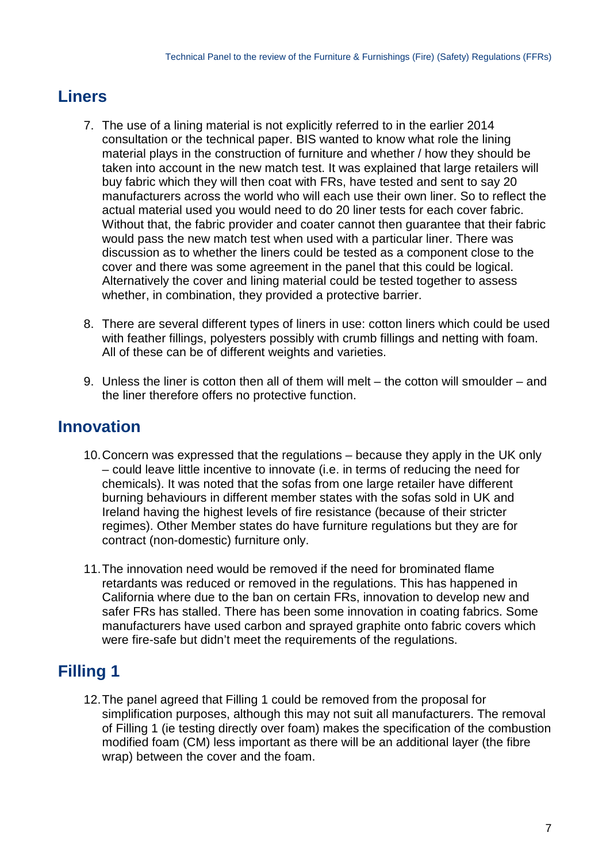## <span id="page-6-0"></span>**Liners**

- 7. The use of a lining material is not explicitly referred to in the earlier 2014 consultation or the technical paper. BIS wanted to know what role the lining material plays in the construction of furniture and whether / how they should be taken into account in the new match test. It was explained that large retailers will buy fabric which they will then coat with FRs, have tested and sent to say 20 manufacturers across the world who will each use their own liner. So to reflect the actual material used you would need to do 20 liner tests for each cover fabric. Without that, the fabric provider and coater cannot then guarantee that their fabric would pass the new match test when used with a particular liner. There was discussion as to whether the liners could be tested as a component close to the cover and there was some agreement in the panel that this could be logical. Alternatively the cover and lining material could be tested together to assess whether, in combination, they provided a protective barrier.
- 8. There are several different types of liners in use: cotton liners which could be used with feather fillings, polyesters possibly with crumb fillings and netting with foam. All of these can be of different weights and varieties.
- 9. Unless the liner is cotton then all of them will melt the cotton will smoulder and the liner therefore offers no protective function.

# <span id="page-6-1"></span>**Innovation**

- 10.Concern was expressed that the regulations because they apply in the UK only – could leave little incentive to innovate (i.e. in terms of reducing the need for chemicals). It was noted that the sofas from one large retailer have different burning behaviours in different member states with the sofas sold in UK and Ireland having the highest levels of fire resistance (because of their stricter regimes). Other Member states do have furniture regulations but they are for contract (non-domestic) furniture only.
- 11.The innovation need would be removed if the need for brominated flame retardants was reduced or removed in the regulations. This has happened in California where due to the ban on certain FRs, innovation to develop new and safer FRs has stalled. There has been some innovation in coating fabrics. Some manufacturers have used carbon and sprayed graphite onto fabric covers which were fire-safe but didn't meet the requirements of the regulations.

# <span id="page-6-2"></span>**Filling 1**

<span id="page-6-3"></span>12.The panel agreed that Filling 1 could be removed from the proposal for simplification purposes, although this may not suit all manufacturers. The removal of Filling 1 (ie testing directly over foam) makes the specification of the combustion modified foam (CM) less important as there will be an additional layer (the fibre wrap) between the cover and the foam.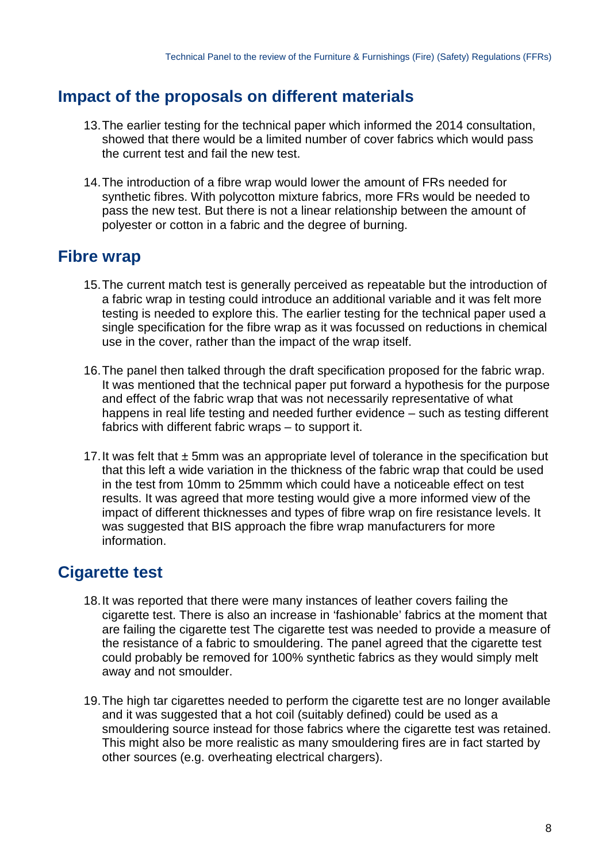#### **Impact of the proposals on different materials**

- 13.The earlier testing for the technical paper which informed the 2014 consultation, showed that there would be a limited number of cover fabrics which would pass the current test and fail the new test.
- 14.The introduction of a fibre wrap would lower the amount of FRs needed for synthetic fibres. With polycotton mixture fabrics, more FRs would be needed to pass the new test. But there is not a linear relationship between the amount of polyester or cotton in a fabric and the degree of burning.

#### <span id="page-7-0"></span>**Fibre wrap**

- 15.The current match test is generally perceived as repeatable but the introduction of a fabric wrap in testing could introduce an additional variable and it was felt more testing is needed to explore this. The earlier testing for the technical paper used a single specification for the fibre wrap as it was focussed on reductions in chemical use in the cover, rather than the impact of the wrap itself.
- 16.The panel then talked through the draft specification proposed for the fabric wrap. It was mentioned that the technical paper put forward a hypothesis for the purpose and effect of the fabric wrap that was not necessarily representative of what happens in real life testing and needed further evidence – such as testing different fabrics with different fabric wraps – to support it.
- 17. It was felt that  $\pm$  5mm was an appropriate level of tolerance in the specification but that this left a wide variation in the thickness of the fabric wrap that could be used in the test from 10mm to 25mmm which could have a noticeable effect on test results. It was agreed that more testing would give a more informed view of the impact of different thicknesses and types of fibre wrap on fire resistance levels. It was suggested that BIS approach the fibre wrap manufacturers for more information.

## <span id="page-7-1"></span>**Cigarette test**

- 18.It was reported that there were many instances of leather covers failing the cigarette test. There is also an increase in 'fashionable' fabrics at the moment that are failing the cigarette test The cigarette test was needed to provide a measure of the resistance of a fabric to smouldering. The panel agreed that the cigarette test could probably be removed for 100% synthetic fabrics as they would simply melt away and not smoulder.
- <span id="page-7-2"></span>19.The high tar cigarettes needed to perform the cigarette test are no longer available and it was suggested that a hot coil (suitably defined) could be used as a smouldering source instead for those fabrics where the cigarette test was retained. This might also be more realistic as many smouldering fires are in fact started by other sources (e.g. overheating electrical chargers).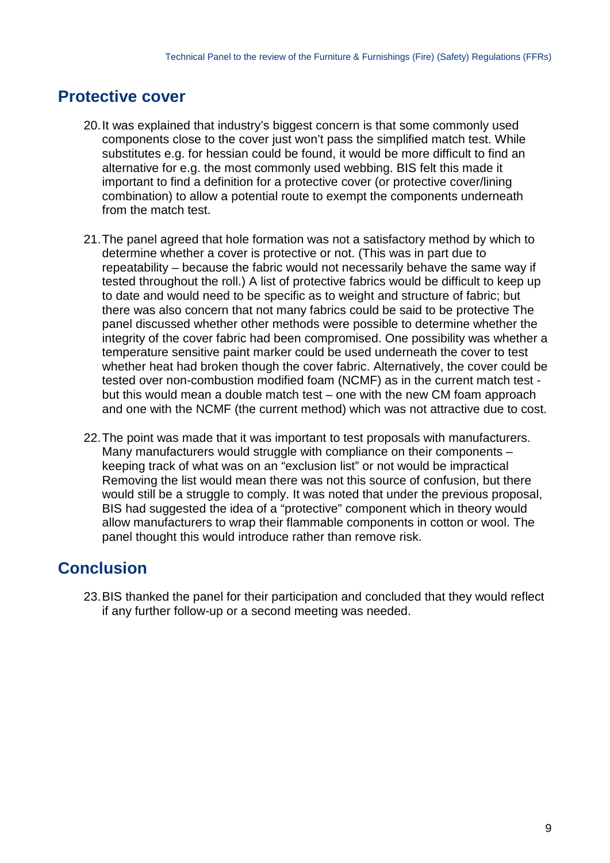## **Protective cover**

- 20.It was explained that industry's biggest concern is that some commonly used components close to the cover just won't pass the simplified match test. While substitutes e.g. for hessian could be found, it would be more difficult to find an alternative for e.g. the most commonly used webbing. BIS felt this made it important to find a definition for a protective cover (or protective cover/lining combination) to allow a potential route to exempt the components underneath from the match test.
- 21.The panel agreed that hole formation was not a satisfactory method by which to determine whether a cover is protective or not. (This was in part due to repeatability – because the fabric would not necessarily behave the same way if tested throughout the roll.) A list of protective fabrics would be difficult to keep up to date and would need to be specific as to weight and structure of fabric; but there was also concern that not many fabrics could be said to be protective The panel discussed whether other methods were possible to determine whether the integrity of the cover fabric had been compromised. One possibility was whether a temperature sensitive paint marker could be used underneath the cover to test whether heat had broken though the cover fabric. Alternatively, the cover could be tested over non-combustion modified foam (NCMF) as in the current match test but this would mean a double match test – one with the new CM foam approach and one with the NCMF (the current method) which was not attractive due to cost.
- 22.The point was made that it was important to test proposals with manufacturers. Many manufacturers would struggle with compliance on their components – keeping track of what was on an "exclusion list" or not would be impractical Removing the list would mean there was not this source of confusion, but there would still be a struggle to comply. It was noted that under the previous proposal, BIS had suggested the idea of a "protective" component which in theory would allow manufacturers to wrap their flammable components in cotton or wool. The panel thought this would introduce rather than remove risk.

## <span id="page-8-0"></span>**Conclusion**

23.BIS thanked the panel for their participation and concluded that they would reflect if any further follow-up or a second meeting was needed.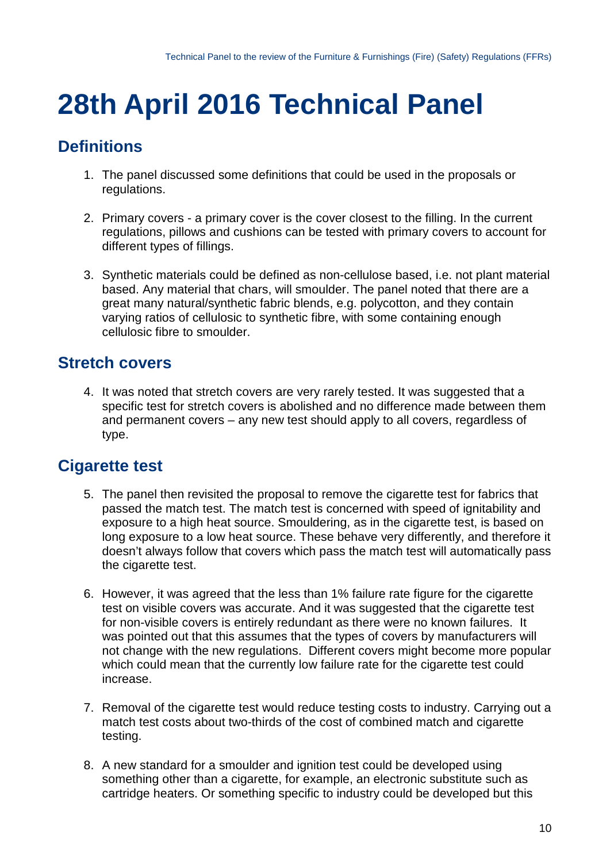# <span id="page-9-0"></span>**28th April 2016 Technical Panel**

# <span id="page-9-1"></span>**Definitions**

- 1. The panel discussed some definitions that could be used in the proposals or regulations.
- 2. Primary covers a primary cover is the cover closest to the filling. In the current regulations, pillows and cushions can be tested with primary covers to account for different types of fillings.
- 3. Synthetic materials could be defined as non-cellulose based, i.e. not plant material based. Any material that chars, will smoulder. The panel noted that there are a great many natural/synthetic fabric blends, e.g. polycotton, and they contain varying ratios of cellulosic to synthetic fibre, with some containing enough cellulosic fibre to smoulder.

### <span id="page-9-2"></span>**Stretch covers**

4. It was noted that stretch covers are very rarely tested. It was suggested that a specific test for stretch covers is abolished and no difference made between them and permanent covers – any new test should apply to all covers, regardless of type.

## <span id="page-9-3"></span>**Cigarette test**

- 5. The panel then revisited the proposal to remove the cigarette test for fabrics that passed the match test. The match test is concerned with speed of ignitability and exposure to a high heat source. Smouldering, as in the cigarette test, is based on long exposure to a low heat source. These behave very differently, and therefore it doesn't always follow that covers which pass the match test will automatically pass the cigarette test.
- 6. However, it was agreed that the less than 1% failure rate figure for the cigarette test on visible covers was accurate. And it was suggested that the cigarette test for non-visible covers is entirely redundant as there were no known failures. It was pointed out that this assumes that the types of covers by manufacturers will not change with the new regulations. Different covers might become more popular which could mean that the currently low failure rate for the cigarette test could increase.
- 7. Removal of the cigarette test would reduce testing costs to industry. Carrying out a match test costs about two-thirds of the cost of combined match and cigarette testing.
- 8. A new standard for a smoulder and ignition test could be developed using something other than a cigarette, for example, an electronic substitute such as cartridge heaters. Or something specific to industry could be developed but this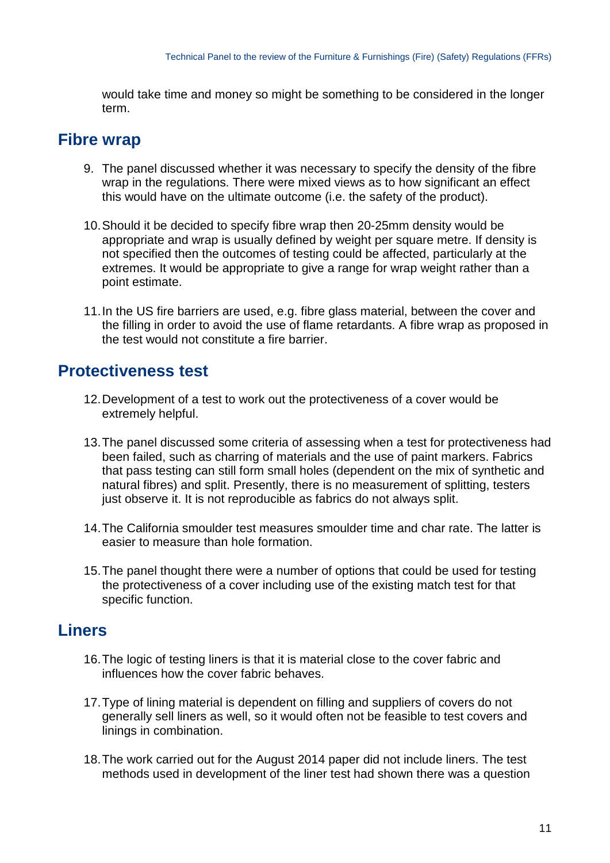would take time and money so might be something to be considered in the longer term.

#### <span id="page-10-0"></span>**Fibre wrap**

- 9. The panel discussed whether it was necessary to specify the density of the fibre wrap in the regulations. There were mixed views as to how significant an effect this would have on the ultimate outcome (i.e. the safety of the product).
- 10.Should it be decided to specify fibre wrap then 20-25mm density would be appropriate and wrap is usually defined by weight per square metre. If density is not specified then the outcomes of testing could be affected, particularly at the extremes. It would be appropriate to give a range for wrap weight rather than a point estimate.
- 11.In the US fire barriers are used, e.g. fibre glass material, between the cover and the filling in order to avoid the use of flame retardants. A fibre wrap as proposed in the test would not constitute a fire barrier.

#### <span id="page-10-1"></span>**Protectiveness test**

- 12.Development of a test to work out the protectiveness of a cover would be extremely helpful.
- 13.The panel discussed some criteria of assessing when a test for protectiveness had been failed, such as charring of materials and the use of paint markers. Fabrics that pass testing can still form small holes (dependent on the mix of synthetic and natural fibres) and split. Presently, there is no measurement of splitting, testers just observe it. It is not reproducible as fabrics do not always split.
- 14.The California smoulder test measures smoulder time and char rate. The latter is easier to measure than hole formation.
- 15.The panel thought there were a number of options that could be used for testing the protectiveness of a cover including use of the existing match test for that specific function.

### <span id="page-10-2"></span>**Liners**

- 16.The logic of testing liners is that it is material close to the cover fabric and influences how the cover fabric behaves.
- 17.Type of lining material is dependent on filling and suppliers of covers do not generally sell liners as well, so it would often not be feasible to test covers and linings in combination.
- 18.The work carried out for the August 2014 paper did not include liners. The test methods used in development of the liner test had shown there was a question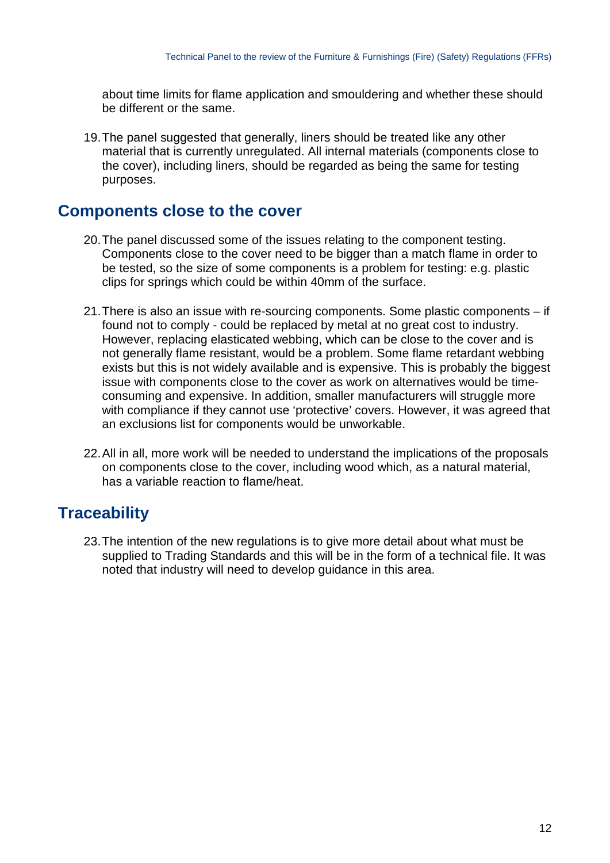about time limits for flame application and smouldering and whether these should be different or the same.

19.The panel suggested that generally, liners should be treated like any other material that is currently unregulated. All internal materials (components close to the cover), including liners, should be regarded as being the same for testing purposes.

#### **Components close to the cover**

- 20.The panel discussed some of the issues relating to the component testing. Components close to the cover need to be bigger than a match flame in order to be tested, so the size of some components is a problem for testing: e.g. plastic clips for springs which could be within 40mm of the surface.
- 21.There is also an issue with re-sourcing components. Some plastic components if found not to comply - could be replaced by metal at no great cost to industry. However, replacing elasticated webbing, which can be close to the cover and is not generally flame resistant, would be a problem. Some flame retardant webbing exists but this is not widely available and is expensive. This is probably the biggest issue with components close to the cover as work on alternatives would be timeconsuming and expensive. In addition, smaller manufacturers will struggle more with compliance if they cannot use 'protective' covers. However, it was agreed that an exclusions list for components would be unworkable.
- 22.All in all, more work will be needed to understand the implications of the proposals on components close to the cover, including wood which, as a natural material, has a variable reaction to flame/heat.

## <span id="page-11-0"></span>**Traceability**

23.The intention of the new regulations is to give more detail about what must be supplied to Trading Standards and this will be in the form of a technical file. It was noted that industry will need to develop guidance in this area.